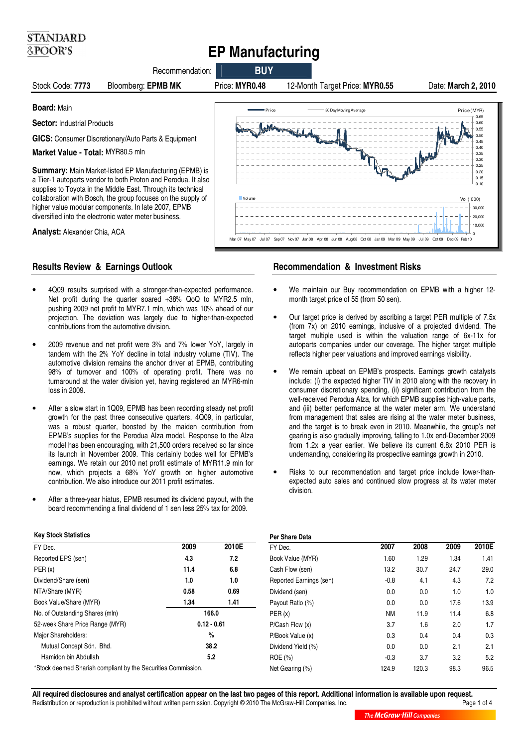# **EP Manufacturing**



## **Results Review & Earnings Outlook**

**STANDARD** &POOR'S

- 4Q09 results surprised with a stronger-than-expected performance. Net profit during the quarter soared +38% QoQ to MYR2.5 mln, pushing 2009 net profit to MYR7.1 mln, which was 10% ahead of our projection. The deviation was largely due to higher-than-expected contributions from the automotive division.
- 2009 revenue and net profit were 3% and 7% lower YoY, largely in tandem with the 2% YoY decline in total industry volume (TIV). The automotive division remains the anchor driver at EPMB, contributing 98% of turnover and 100% of operating profit. There was no turnaround at the water division yet, having registered an MYR6-mln loss in 2009.
- After a slow start in 1Q09, EPMB has been recording steady net profit growth for the past three consecutive quarters. 4Q09, in particular, was a robust quarter, boosted by the maiden contribution from EPMB's supplies for the Perodua Alza model. Response to the Alza model has been encouraging, with 21,500 orders received so far since its launch in November 2009. This certainly bodes well for EPMB's earnings. We retain our 2010 net profit estimate of MYR11.9 mln for now, which projects a 68% YoY growth on higher automotive contribution. We also introduce our 2011 profit estimates.
- After a three-year hiatus, EPMB resumed its dividend payout, with the board recommending a final dividend of 1 sen less 25% tax for 2009.

# **Recommendation & Investment Risks**

- We maintain our Buy recommendation on EPMB with a higher 12 month target price of 55 (from 50 sen).
- Our target price is derived by ascribing a target PER multiple of 7.5x (from  $7x$ ) on 2010 earnings, inclusive of a projected dividend. The target multiple used is within the valuation range of 6x-11x for autoparts companies under our coverage. The higher target multiple reflects higher peer valuations and improved earnings visibility.
- We remain upbeat on EPMB's prospects. Earnings growth catalysts include: (i) the expected higher TIV in 2010 along with the recovery in consumer discretionary spending, (ii) significant contribution from the well-received Perodua Alza, for which EPMB supplies high-value parts, and (iii) better performance at the water meter arm. We understand from management that sales are rising at the water meter business, and the target is to break even in 2010. Meanwhile, the group's net gearing is also gradually improving, falling to 1.0x end-December 2009 from 1.2x a year earlier. We believe its current 6.8x 2010 PER is undemanding, considering its prospective earnings growth in 2010.
- Risks to our recommendation and target price include lower-thanexpected auto sales and continued slow progress at its water meter division.

| <b>Key Stock Statistics</b>                                   |      |               |  |
|---------------------------------------------------------------|------|---------------|--|
| FY Dec.                                                       | 2009 | 2010E         |  |
| Reported EPS (sen)                                            | 4.3  | 7.2           |  |
| PER(x)                                                        | 11.4 | 6.8           |  |
| Dividend/Share (sen)                                          | 1.0  | 1.0           |  |
| NTA/Share (MYR)                                               | 0.58 | 0.69          |  |
| Book Value/Share (MYR)                                        | 1.34 | 1.41          |  |
| No. of Outstanding Shares (mln)                               |      | 166.0         |  |
| 52-week Share Price Range (MYR)                               |      | $0.12 - 0.61$ |  |
| Major Shareholders:                                           |      | %             |  |
| Mutual Concept Sdn. Bhd.                                      |      | 38.2          |  |
| Hamidon bin Abdullah                                          |      | 5.2           |  |
| *Stock deemed Shariah compliant by the Securities Commission. |      |               |  |

| Per Share Data          |        |       |      |       |
|-------------------------|--------|-------|------|-------|
| FY Dec.                 | 2007   | 2008  | 2009 | 2010E |
| Book Value (MYR)        | 1.60   | 1.29  | 1.34 | 1.41  |
| Cash Flow (sen)         | 13.2   | 30.7  | 24.7 | 29.0  |
| Reported Earnings (sen) | $-0.8$ | 4.1   | 4.3  | 7.2   |
| Dividend (sen)          | 0.0    | 0.0   | 1.0  | 1.0   |
| Payout Ratio (%)        | 0.0    | 0.0   | 17.6 | 13.9  |
| PER(x)                  | ΝM     | 11.9  | 11.4 | 6.8   |
| P/Cash Flow(x)          | 3.7    | 1.6   | 2.0  | 1.7   |
| P/Book Value (x)        | 0.3    | 0.4   | 0.4  | 0.3   |
| Dividend Yield (%)      | 0.0    | 0.0   | 2.1  | 2.1   |
| ROE (%)                 | $-0.3$ | 3.7   | 3.2  | 5.2   |
| Net Gearing (%)         | 124.9  | 120.3 | 98.3 | 96.5  |

**All required disclosures and analyst certification appear on the last two pages of this report. Additional information is available upon request.** Redistribution or reproduction is prohibited without written permission. Copyright © 2010 The McGraw-Hill Companies, Inc.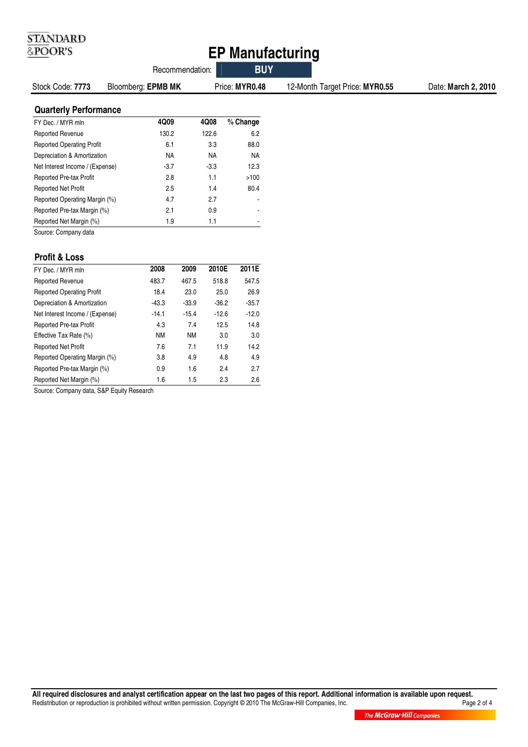## **STANDARD EP Manufacturing** &POOR'S Recommendation: Stock Code: **7773** Bloomberg: **EPMB MK** Price: **MYR0.48** 12-Month Target Price: **MYR0.55** Date: **March 2, 2010 Quarterly Performance** FY Dec. / MYR mln **4Q09 4Q08 % Change** Reported Revenue 130.2 122.6 6.2 Reported Operating Profit 6.1 6.1 3.3 88.0 Depreciation & Amortization NA NA NA NA Net Interest Income / (Expense) -3.7 -3.3 12.3 Reported Pre-tax Profit 2.8 1.1 >100 Reported Net Profit 2.5 1.4 80.4 Reported Operating Margin (%) 4.7 2.7 Reported Pre-tax Margin (%) 2.1 0.9 Reported Net Margin (%) 1.9 1.1 - 1.1 Source: Company data

## **Profit & Loss**

| FY Dec. / MYR mln                | 2008      | 2009    | 2010E   | 2011E   |
|----------------------------------|-----------|---------|---------|---------|
| <b>Reported Revenue</b>          | 483.7     | 467.5   | 518.8   | 547.5   |
| <b>Reported Operating Profit</b> | 18.4      | 23.0    | 25.0    | 26.9    |
| Depreciation & Amortization      | -43.3     | $-33.9$ | $-36.2$ | $-35.7$ |
| Net Interest Income / (Expense)  | $-14.1$   | $-15.4$ | $-12.6$ | $-12.0$ |
| <b>Reported Pre-tax Profit</b>   | 4.3       | 7.4     | 12.5    | 14.8    |
| Effective Tax Rate (%)           | <b>NM</b> | ΝM      | 3.0     | 3.0     |
| <b>Reported Net Profit</b>       | 7.6       | 7.1     | 11.9    | 14.2    |
| Reported Operating Margin (%)    | 3.8       | 4.9     | 4.8     | 4.9     |
| Reported Pre-tax Margin (%)      | 0.9       | 1.6     | 2.4     | 2.7     |
| Reported Net Margin (%)          | 1.6       | 1.5     | 2.3     | 2.6     |

Source: Company data, S&P Equity Research

**All required disclosures and analyst certification appear on the last two pages of this report. Additional information is available upon request.** Redistribution or reproduction is prohibited without written permission. Copyright © 2010 The McGraw-Hill Companies, Inc.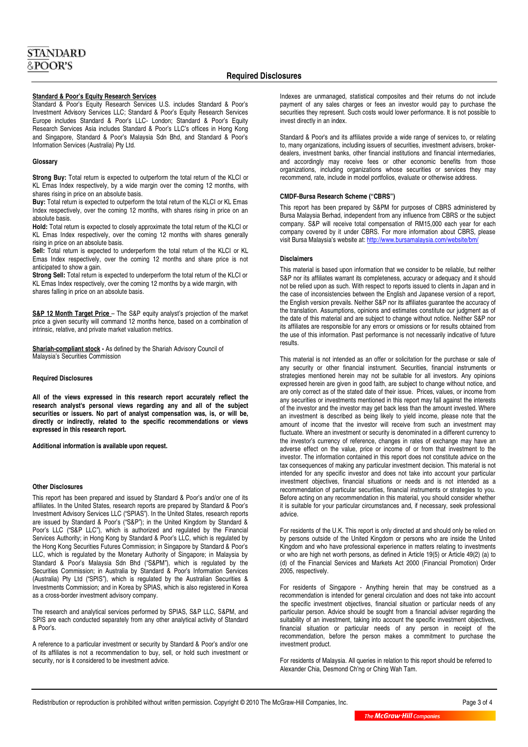### **Standard & Poor's Equity Research Services**

Standard & Poor's Equity Research Services U.S. includes Standard & Poor's Investment Advisory Services LLC; Standard & Poor's Equity Research Services Europe includes Standard & Poor's LLC- London; Standard & Poor's Equity Research Services Asia includes Standard & Poor's LLC's offices in Hong Kong and Singapore, Standard & Poor's Malaysia Sdn Bhd, and Standard & Poor's Information Services (Australia) Pty Ltd.

#### **Glossary**

**Strong Buy:** Total return is expected to outperform the total return of the KLCI or KL Emas Index respectively, by a wide margin over the coming 12 months, with shares rising in price on an absolute basis.

**Buy:** Total return is expected to outperform the total return of the KLCI or KL Emas Index respectively, over the coming 12 months, with shares rising in price on an absolute basis.

**Hold:** Total return is expected to closely approximate the total return of the KLCI or KL Emas Index respectively, over the coming 12 months with shares generally rising in price on an absolute basis.

**Sell:** Total return is expected to underperform the total return of the KLCI or KL Emas Index respectively, over the coming 12 months and share price is not anticipated to show a gain.

**Strong Sell:** Total return is expected to underperform the total return of the KLCI or KL Emas Index respectively, over the coming 12 months by a wide margin, with shares falling in price on an absolute basis.

**S&P 12 Month Target Price** - The S&P equity analyst's projection of the market price a given security will command 12 months hence, based on a combination of intrinsic, relative, and private market valuation metrics.

**Shariah-compliant stock -** As defined by the Shariah Advisory Council of Malaysia's Securities Commission

#### **Required Disclosures**

**All of the views expressed in this research report accurately reflect the research analyst's personal views regarding any and all of the subject securities or issuers. No part of analyst compensation was, is, or will be, directly or indirectly, related to the specific recommendations or views expressed in this research report.** 

**Additional information is available upon request.** 

#### **Other Disclosures**

This report has been prepared and issued by Standard & Poor's and/or one of its affiliates. In the United States, research reports are prepared by Standard & Poor's Investment Advisory Services LLC ("SPIAS"). In the United States, research reports are issued by Standard & Poor's ("S&P"); in the United Kingdom by Standard & Poor's LLC ("S&P LLC"), which is authorized and regulated by the Financial Services Authority; in Hong Kong by Standard & Poor's LLC, which is regulated by the Hong Kong Securities Futures Commission; in Singapore by Standard & Poor's LLC, which is regulated by the Monetary Authority of Singapore; in Malaysia by Standard & Poor's Malaysia Sdn Bhd ("S&PM"), which is regulated by the Securities Commission; in Australia by Standard & Poor's Information Services (Australia) Pty Ltd ("SPIS"), which is regulated by the Australian Securities & Investments Commission; and in Korea by SPIAS, which is also registered in Korea as a cross-border investment advisory company.

The research and analytical services performed by SPIAS, S&P LLC, S&PM, and SPIS are each conducted separately from any other analytical activity of Standard & Poor's.

A reference to a particular investment or security by Standard & Poor's and/or one of its affiliates is not a recommendation to buy, sell, or hold such investment or security, nor is it considered to be investment advice.

Indexes are unmanaged, statistical composites and their returns do not include payment of any sales charges or fees an investor would pay to purchase the securities they represent. Such costs would lower performance. It is not possible to invest directly in an index.

Standard & Poor's and its affiliates provide a wide range of services to, or relating to, many organizations, including issuers of securities, investment advisers, brokerdealers, investment banks, other financial institutions and financial intermediaries, and accordingly may receive fees or other economic benefits from those organizations, including organizations whose securities or services they may recommend, rate, include in model portfolios, evaluate or otherwise address.

#### **CMDF-Bursa Research Scheme ("CBRS")**

This report has been prepared by S&PM for purposes of CBRS administered by Bursa Malaysia Berhad, independent from any influence from CBRS or the subject company. S&P will receive total compensation of RM15,000 each year for each company covered by it under CBRS. For more information about CBRS, please visit Bursa Malaysia's website at: http://www.bursamalaysia.com/website/bm/

#### **Disclaimers**

This material is based upon information that we consider to be reliable, but neither S&P nor its affiliates warrant its completeness, accuracy or adequacy and it should not be relied upon as such. With respect to reports issued to clients in Japan and in the case of inconsistencies between the English and Japanese version of a report, the English version prevails. Neither S&P nor its affiliates guarantee the accuracy of the translation. Assumptions, opinions and estimates constitute our judgment as of the date of this material and are subject to change without notice. Neither S&P nor its affiliates are responsible for any errors or omissions or for results obtained from the use of this information. Past performance is not necessarily indicative of future results.

This material is not intended as an offer or solicitation for the purchase or sale of any security or other financial instrument. Securities, financial instruments or strategies mentioned herein may not be suitable for all investors. Any opinions expressed herein are given in good faith, are subject to change without notice, and are only correct as of the stated date of their issue. Prices, values, or income from any securities or investments mentioned in this report may fall against the interests of the investor and the investor may get back less than the amount invested. Where an investment is described as being likely to yield income, please note that the amount of income that the investor will receive from such an investment may fluctuate. Where an investment or security is denominated in a different currency to the investor's currency of reference, changes in rates of exchange may have an adverse effect on the value, price or income of or from that investment to the investor. The information contained in this report does not constitute advice on the tax consequences of making any particular investment decision. This material is not intended for any specific investor and does not take into account your particular investment objectives, financial situations or needs and is not intended as a recommendation of particular securities, financial instruments or strategies to you. Before acting on any recommendation in this material, you should consider whether it is suitable for your particular circumstances and, if necessary, seek professional advice.

For residents of the U.K. This report is only directed at and should only be relied on by persons outside of the United Kingdom or persons who are inside the United Kingdom and who have professional experience in matters relating to investments or who are high net worth persons, as defined in Article 19(5) or Article 49(2) (a) to (d) of the Financial Services and Markets Act 2000 (Financial Promotion) Order 2005, respectively.

For residents of Singapore - Anything herein that may be construed as a recommendation is intended for general circulation and does not take into account the specific investment objectives, financial situation or particular needs of any particular person. Advice should be sought from a financial adviser regarding the suitability of an investment, taking into account the specific investment objectives, financial situation or particular needs of any person in receipt of the recommendation, before the person makes a commitment to purchase the investment product.

For residents of Malaysia. All queries in relation to this report should be referred to Alexander Chia, Desmond Ch'ng or Ching Wah Tam.

The McGraw Hill Companies